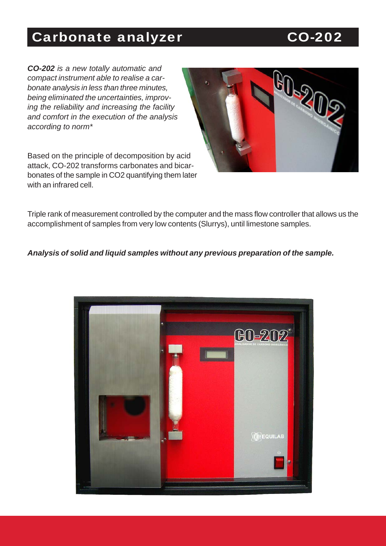# Carbonate analyzer CO-202

*CO-202 is a new totally automatic and compact instrument able to realise a carbonate analysis in less than three minutes, being eliminated the uncertainties, improving the reliability and increasing the facility and comfort in the execution of the analysis according to norm\**

Based on the principle of decomposition by acid attack, CO-202 transforms carbonates and bicarbonates of the sample in CO2 quantifying them later with an infrared cell.



Triple rank of measurement controlled by the computer and the mass flow controller that allows us the accomplishment of samples from very low contents (Slurrys), until limestone samples.

#### *Analysis of solid and liquid samples without any previous preparation of the sample.*

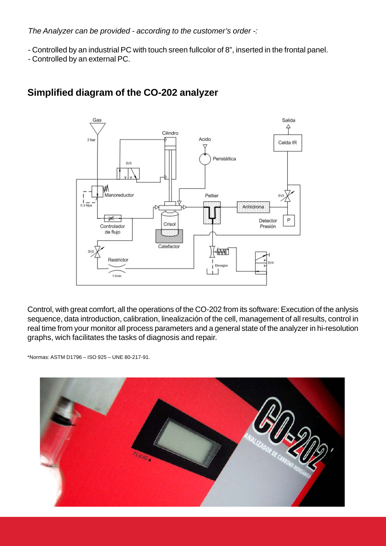*The Analyzer can be provided - according to the customer's order -:*

- Controlled by an industrial PC with touch sreen fullcolor of 8", inserted in the frontal panel.
- Controlled by an external PC.



## **Simplified diagram of the CO-202 analyzer**

Control, with great comfort, all the operations of the CO-202 from its software: Execution of the anlysis sequence, data introduction, calibration, linealización of the cell, management of all results, control in real time from your monitor all process parameters and a general state of the analyzer in hi-resolution graphs, wich facilitates the tasks of diagnosis and repair.

\*Normas: ASTM D1796 – ISO 925 – UNE 80-217-91.

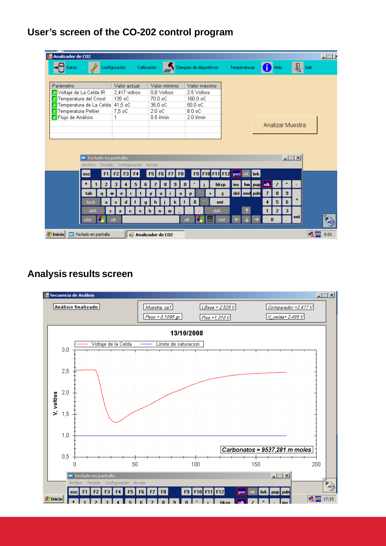### **User's screen of the CO-202 control program**

| Analizador de CO2                      |                                     |                                   |                         |                                           |                              |                           | 三回区        |
|----------------------------------------|-------------------------------------|-----------------------------------|-------------------------|-------------------------------------------|------------------------------|---------------------------|------------|
| Datos                                  | Configuración<br>Calibración        |                                   | Chequeo de dispositivos | Temperaturas                              | Help                         |                           | Salir      |
|                                        |                                     |                                   |                         |                                           |                              |                           |            |
| Parámetro                              | Valor actual                        | Valor mínimo                      | Valor máximo            |                                           |                              |                           |            |
| Voltaje de La Celda IR                 | 2,417 voltios                       | 0.8 Voltios                       | 2.5 Voltios             |                                           |                              |                           |            |
| Temperatura del Crisol                 | 135 oC                              | 70.0 oC                           | 160.0 oC                |                                           |                              |                           |            |
| <mark>√</mark> Temperatura de La Celda | 41,5 oC                             | 35.0 oC                           | 50.0 oC                 |                                           |                              |                           |            |
| <b>7</b> Temperatura Peltier           | 7,5 oC                              | $2.0 \text{ oC}$                  | $8.0 \text{ oC}$        |                                           |                              |                           |            |
| <b>Z</b> Flujo de Análisis             |                                     | $0.5$ $Vmin$                      | 2.0 l/min               |                                           |                              |                           |            |
|                                        |                                     |                                   |                         |                                           |                              | Analizar Muestra          |            |
|                                        |                                     |                                   |                         |                                           |                              |                           |            |
|                                        |                                     |                                   |                         |                                           |                              |                           |            |
|                                        |                                     |                                   |                         |                                           |                              |                           |            |
|                                        |                                     |                                   |                         |                                           |                              |                           |            |
| Teclado en pantalla                    |                                     |                                   |                         |                                           |                              | $\Box$                    |            |
|                                        | Archivo Teclado Configuración Ayuda |                                   |                         |                                           |                              |                           |            |
| F1<br>esc                              | F <sub>2</sub>                      | F5<br>F8<br>F <sub>6</sub><br>F7  | <b>F9 F10 F11 F12</b>   | <b>brk</b><br>psc sk                      |                              |                           |            |
|                                        |                                     |                                   |                         |                                           |                              |                           |            |
| н<br>2                                 | 5<br>6                              | 9                                 | 0                       | hm pup nik<br>$\vert$ ins $\vert$<br>bksp | ,                            |                           |            |
| tab<br>$\mathbf{q}$                    | e                                   | $\bf{o}$                          |                         | del end pdn<br>c                          | 8<br>$\overline{7}$          | $\overline{9}$            |            |
| lock                                   |                                     |                                   | ñ<br>ent                |                                           | 5<br>$\overline{\mathbf{4}}$ | $\ddot{\phantom{1}}$<br>6 |            |
| a                                      | d<br>s.<br>q                        | h                                 |                         |                                           |                              |                           |            |
| shft<br>$\mathbf{z}$                   | $\mathbf{x}$<br>$\mathbf{c}$<br>v.  | b<br>$\mathbf{n}$<br>$\mathbf{m}$ | shft                    |                                           | $\overline{2}$<br>1          | 3                         |            |
| ctrl                                   | alt                                 |                                   | alt                     | ctrl                                      | $\bf{0}$                     | ent                       |            |
|                                        |                                     |                                   |                         |                                           |                              |                           |            |
| <b>A</b> Inicio<br>Teclado en pantalla |                                     | <b>a</b> Analizador de CO2        |                         |                                           |                              |                           | 麦四<br>8:01 |

#### **Analysis results screen**